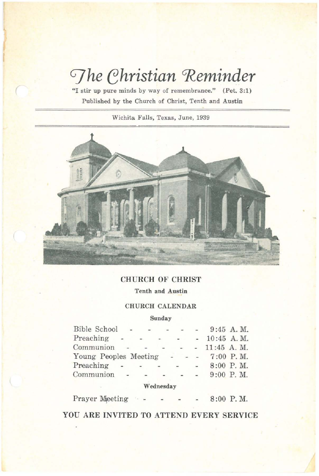# $\sqrt{\frac{m}{m}}$  *ehristian* Reminder

**¥II stir up pure minds by way of remembrance."** (Pet. 3:1) **Published by the Church of Christ, Tenth and Austin**

(

**Wichita Falls, Texas, June, 1939**



## CHURCH OF CHRIST

**Tenth and Austin**

## CHURCH CALENDAR

#### **Sunday**

| Bible School          | $-$                       | $-1$   |                                 | $\frac{1}{2} \left( \frac{1}{2} \right) = \frac{1}{2} \left( \frac{1}{2} \right) = \frac{1}{2} \left( \frac{1}{2} \right) = \frac{1}{2} \left( \frac{1}{2} \right) = \frac{1}{2} \left( \frac{1}{2} \right) = \frac{1}{2} \left( \frac{1}{2} \right) = \frac{1}{2} \left( \frac{1}{2} \right) = \frac{1}{2} \left( \frac{1}{2} \right) = \frac{1}{2} \left( \frac{1}{2} \right) = \frac{1}{2} \left( \frac{1}{2} \right) = \frac{1}{2} \left($ |                          | $9:45$ A.M.       |
|-----------------------|---------------------------|--------|---------------------------------|------------------------------------------------------------------------------------------------------------------------------------------------------------------------------------------------------------------------------------------------------------------------------------------------------------------------------------------------------------------------------------------------------------------------------------------------|--------------------------|-------------------|
| Preaching             | $\sim$                    | $\sim$ | $-$                             |                                                                                                                                                                                                                                                                                                                                                                                                                                                |                          | $-10:45$ A, M,    |
| Communion             | $\mathcal{L}(\mathbf{z})$ | $\sim$ | $\sim$                          |                                                                                                                                                                                                                                                                                                                                                                                                                                                |                          | $ -$ 11:45 A.M.   |
| Young Peoples Meeting |                           |        |                                 |                                                                                                                                                                                                                                                                                                                                                                                                                                                |                          | $- - - 7:00$ P.M. |
| Preaching             | $\sim$                    | $-$    |                                 |                                                                                                                                                                                                                                                                                                                                                                                                                                                | $\overline{\phantom{a}}$ | $8:00$ P.M.       |
| Communion - -         |                           |        | $\Delta\mathcal{L}=\mathcal{L}$ | $\sim$ $\sim$                                                                                                                                                                                                                                                                                                                                                                                                                                  |                          | $9:00$ P.M.       |
|                       |                           |        |                                 |                                                                                                                                                                                                                                                                                                                                                                                                                                                |                          |                   |

## **Wednesday**

Prayer Meeting 8:00 P. M.

YOU ARE INVITED TO ATTEND EVERY SERVICE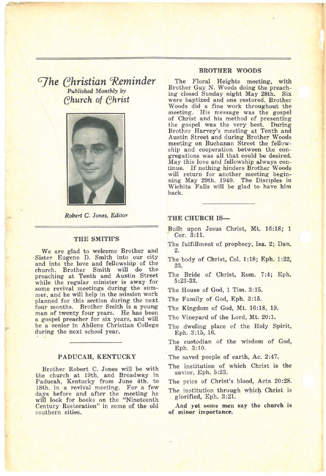## *CJhe ehristian GJCeminder Published Monthly* by *ehurch of ehrist*



*Robert* C. *Jones, Editor*

#### THE SMITH'S

We are glad to welcome Brother and Sister Eugene D. Smith into our city and into the love and fellowship of the church. Brother Smith will do the preaching at Tenth and Austin Street while the regular minister is away for some revival meetings during the sum-<br>mer, and he will help in the mission work planned for this section during the next<br>four months. Brother Smith is a young man of twenty four years. He has been a gospel preacher for six years, and will be a senior in Abilene Christian College during the next school year.

#### PADUCAH, KENTUCKY

Brother Robert C. Jones will be with the church at 19th. and Broadway in Paducah, Kentucky from June 4th. to 18th. in a revival meeting. For a few days before and after the meeting he will look for books on the "Nineteenth Century Restoration" in some of the old southern cities.

#### BROTHER WOODS

The Floral Heights meeting, with Brother Guy N. Woods doing the preaching closed Sunday night May 28th. Six were baptized and one restored. Brother Woods did a fine work throughout the meeting. His message was the gospel of 'Christ and his method of presenting the gospel was the very best. During Brother Harvey's meeting at Tenth and Austin Street and during Brother Woods meeting on Buchanan Street the fellowship and cooperation between the congregations was all that could be desired.<br>May this love and fellowship always continue. If nothing hinders Brother Woods will return for another meeting beginning May 29th. 1940. The Disciples in Wichita Falls will be glad to have him back.

## THE CHURCH IS-

- Built upon Jesus Christ, Mt. 16:18; 1 Cor. 3:11.
- The fulfillment of prophecy, Isa. 2; Dan. 2.
- The body of Christ, Col. 1:18; Eph. 1:22, 23.
- The Bride of Christ, Rom. 7:4; Eph. 5:23-33.
- The House of God, 1 Tim. 3:15.
- The Family of God, Eph. 3:15.
- The Kingdom of God, Mt. 16:18, 19.
- The Vineyard of the Lord, Mt. 20:1.
- The dweling place of the Holy Spirit, Eph. 3:15, 16.
- The custodian of the wisdom of God, Eph. 3:10.
- The saved people of earth, Ac. 2:47.
- The institution of which Christ is the savior, Eph. 5:23.

The price of Christ's blood, Acts 20:28.

- The institution through which Christ is glorified, Eph. 3:21.
- And yet some men say the church is of minor importance.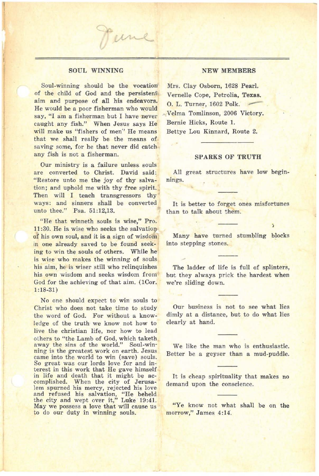#### SOUL WINNING

 $\overline{\phantom{a}}$ 

Fune

Soul-winning should be the vocation of the child of God and the persistent' aim and purpose of all his endeavors. He would be a poor fisherman who would say, "I am a fisherman but I have never caught any fish." When Jesus says He will make us "fishers of men" He means that we shall really be the means of saving some, for he that never did catch any fish is not a fisherman.

Our ministry is a failure unless souls are converted to Christ. David said: "Restore unto me the joy of thy salvation; and uphold me with thy free spirit. Then will I teach transgressors thy ways: and sinners shall be converted unto thee." Psa. 51:12,13.

"He that winneth souls is wise," Pro.  $11:30$ . He is wise who seeks the salvation of his own soul, and it is a sign of wisdom in one already saved to be found seeking to win the souls of others. While he is wise who makes the winning of souls his aim, he is wiser still who relinquishes his own wisdom and seeks wisdom from God for the achieving of that aim. (1Cor. 1:18-31)

No one should expect to win souls to Christ who does not take time to study the word of God. For without a knowledge of the truth we know not how to live the christian life, nor how to lead others to "the Lamb of God, which taketh away the sins of the world." Soul-winning is the greatest work on earth. Jesus came into the world to win (save) souls. So great was our lords love for and interest in this work that He gave himself<br>in life and death that it might be accomplished. When the city of Jerusalem spurned his mercy, rejected his love and refused his salvation, "He beheld the city and wept over it," Luke 19:41. May we possess <sup>a</sup> love that will cause us to do our duty in winning souls.

#### NEW MEMBERS

Mrs. Clay Osborn, 1628 Pearl. Vernelle Cope, Petrolia, Texas.<br>O. L. Turner, 1602 Polk. Velma Tomlinson, 2006 Victory. Bernie Hicks, Route 1. Bettye Lou Kinnard, Route 2.

#### SPARKS OF TRUTH

All great structures have low beginnings.

It is better to forget ones misfortunes than to talk about them.

Many have turned stumbling blocks into stepping stones.

The ladder of life is full of splinters, but they always prick the hardest when we're sliding down.

Our business is not to see what lies dimly at a distance, but to do what lies clearly at hand.

We like the man who is enthusiastic. Better be a geyser than a mud-puddle.

It is cheap spirituality that makes no demand upon the conscience.

"Ye know not what shall be on the morrow," James 4:14.